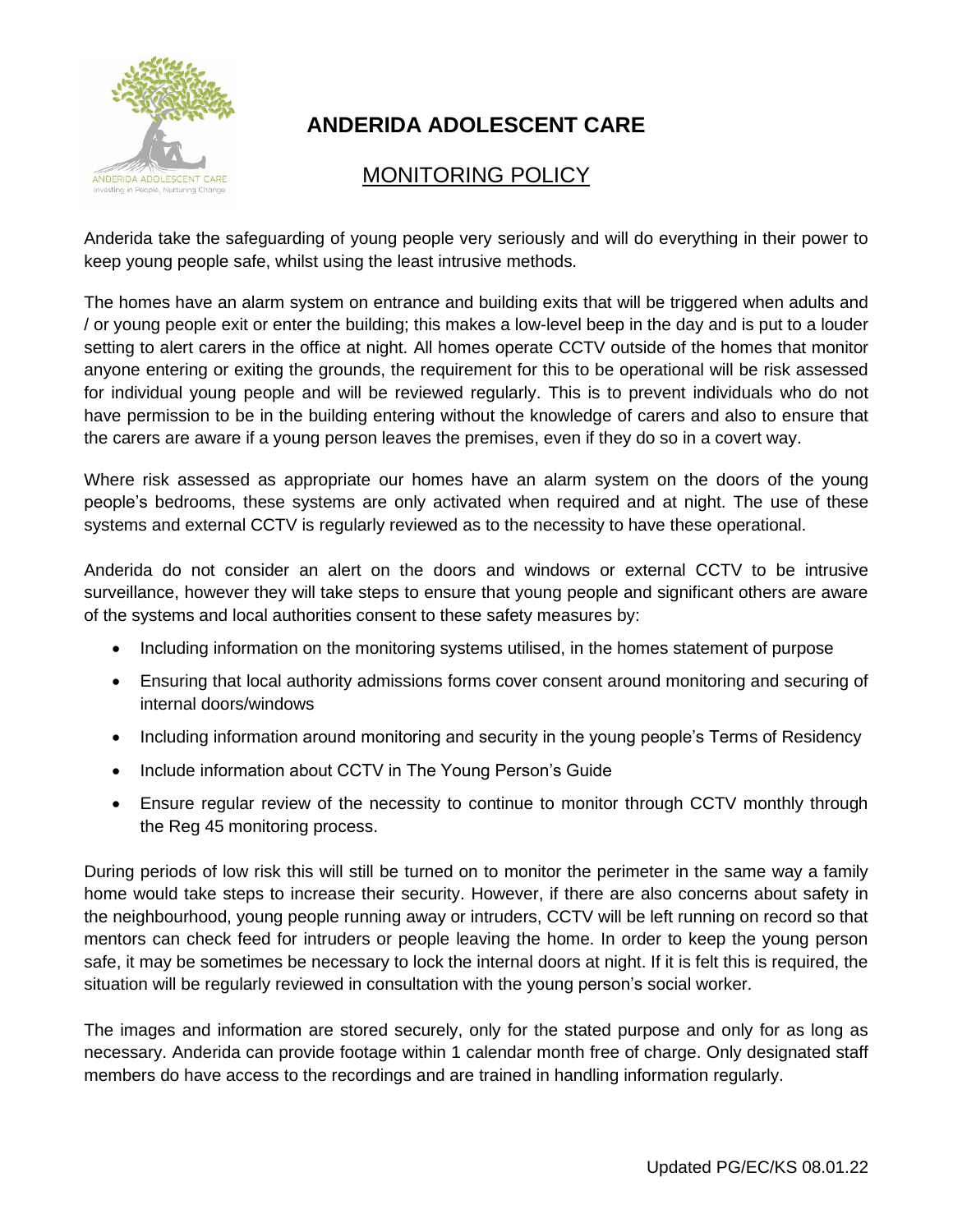

## **ANDERIDA ADOLESCENT CARE**

## MONITORING POLICY

Anderida take the safeguarding of young people very seriously and will do everything in their power to keep young people safe, whilst using the least intrusive methods.

The homes have an alarm system on entrance and building exits that will be triggered when adults and / or young people exit or enter the building; this makes a low-level beep in the day and is put to a louder setting to alert carers in the office at night. All homes operate CCTV outside of the homes that monitor anyone entering or exiting the grounds, the requirement for this to be operational will be risk assessed for individual young people and will be reviewed regularly. This is to prevent individuals who do not have permission to be in the building entering without the knowledge of carers and also to ensure that the carers are aware if a young person leaves the premises, even if they do so in a covert way.

Where risk assessed as appropriate our homes have an alarm system on the doors of the young people's bedrooms, these systems are only activated when required and at night. The use of these systems and external CCTV is regularly reviewed as to the necessity to have these operational.

Anderida do not consider an alert on the doors and windows or external CCTV to be intrusive surveillance, however they will take steps to ensure that young people and significant others are aware of the systems and local authorities consent to these safety measures by:

- Including information on the monitoring systems utilised, in the homes statement of purpose
- Ensuring that local authority admissions forms cover consent around monitoring and securing of internal doors/windows
- Including information around monitoring and security in the young people's Terms of Residency
- Include information about CCTV in The Young Person's Guide
- Ensure regular review of the necessity to continue to monitor through CCTV monthly through the Reg 45 monitoring process.

During periods of low risk this will still be turned on to monitor the perimeter in the same way a family home would take steps to increase their security. However, if there are also concerns about safety in the neighbourhood, young people running away or intruders, CCTV will be left running on record so that mentors can check feed for intruders or people leaving the home. In order to keep the young person safe, it may be sometimes be necessary to lock the internal doors at night. If it is felt this is required, the situation will be regularly reviewed in consultation with the young person's social worker.

The images and information are stored securely, only for the stated purpose and only for as long as necessary. Anderida can provide footage within 1 calendar month free of charge. Only designated staff members do have access to the recordings and are trained in handling information regularly.